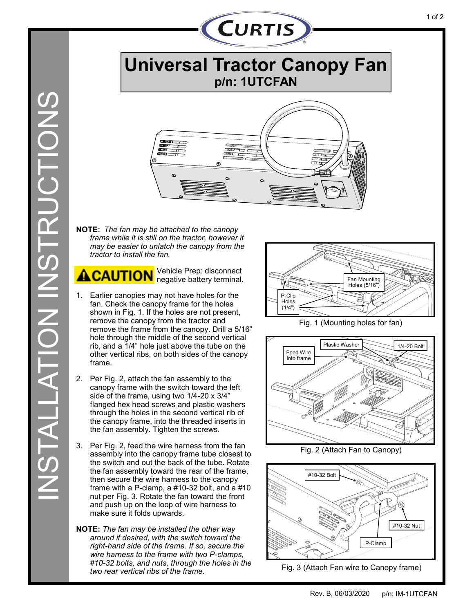

**Universal Tractor Canopy Fan p/n: 1UTCFAN** 



**NOTE:** *The fan may be attached to the canopy frame while it is still on the tractor, however it may be easier to unlatch the canopy from the tractor to install the fan.*

Vehicle Prep: disconnect negative battery terminal.

- 1. Earlier canopies may not have holes for the fan. Check the canopy frame for the holes shown in Fig. 1. If the holes are not present, remove the canopy from the tractor and remove the frame from the canopy. Drill a 5/16" hole through the middle of the second vertical rib, and a 1/4" hole just above the tube on the other vertical ribs, on both sides of the canopy frame.
- 2. Per Fig. 2, attach the fan assembly to the canopy frame with the switch toward the left side of the frame, using two 1/4-20 x 3/4" flanged hex head screws and plastic washers through the holes in the second vertical rib of the canopy frame, into the threaded inserts in the fan assembly. Tighten the screws.
- 3. Per Fig. 2, feed the wire harness from the fan assembly into the canopy frame tube closest to the switch and out the back of the tube. Rotate the fan assembly toward the rear of the frame, then secure the wire harness to the canopy frame with a P-clamp, a #10-32 bolt, and a #10 nut per Fig. 3. Rotate the fan toward the front and push up on the loop of wire harness to make sure it folds upwards.
- **NOTE:** *The fan may be installed the other way around if desired, with the switch toward the right-hand side of the frame. If so, secure the wire harness to the frame with two P-clamps, #10-32 bolts, and nuts, through the holes in the two rear vertical ribs of the frame.*



Fig. 1 (Mounting holes for fan)



Fig. 2 (Attach Fan to Canopy)



Fig. 3 (Attach Fan wire to Canopy frame)